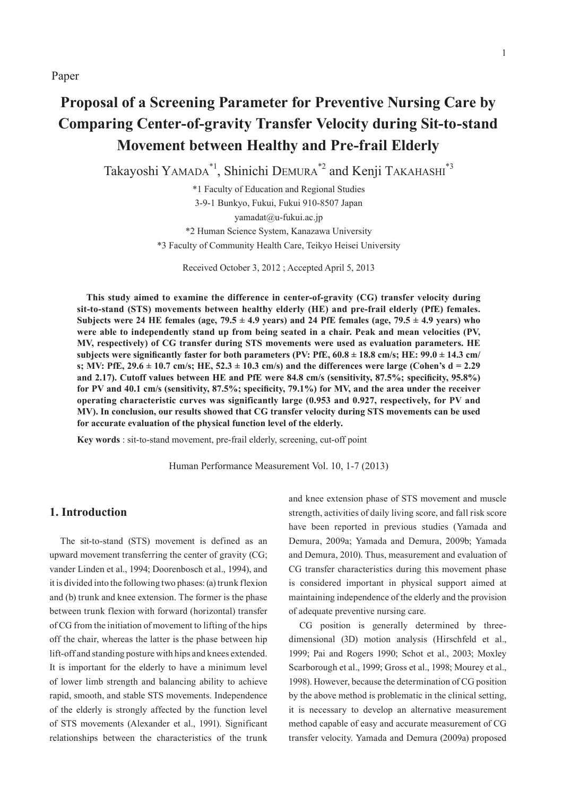# **Proposal of a Screening Parameter for Preventive Nursing Care by Comparing Center-of-gravity Transfer Velocity during Sit-to-stand Movement between Healthy and Pre-frail Elderly**

Takayoshi YAMADA\*1, Shinichi DEMURA\*2 and Kenji TAKAHASHI\*3

\*1 Faculty of Education and Regional Studies 3-9-1 Bunkyo, Fukui, Fukui 910-8507 Japan yamadat@u-fukui.ac.jp \*2 Human Science System, Kanazawa University \*3 Faculty of Community Health Care, Teikyo Heisei University

Received October 3, 2012 ; Accepted April 5, 2013

**This study aimed to examine the difference in center-of-gravity (CG) transfer velocity during sit-to-stand (STS) movements between healthy elderly (HE) and pre-frail elderly (PfE) females.**  Subjects were 24 HE females (age,  $79.5 \pm 4.9$  years) and 24 PfE females (age,  $79.5 \pm 4.9$  years) who **were able to independently stand up from being seated in a chair. Peak and mean velocities (PV, MV, respectively) of CG transfer during STS movements were used as evaluation parameters. HE**  subjects were significantly faster for both parameters (PV: PfE,  $60.8 \pm 18.8$  cm/s; HE:  $99.0 \pm 14.3$  cm/ **s; MV: PfE, 29.6 ± 10.7 cm/s; HE, 52.3 ± 10.3 cm/s) and the differences were large (Cohen's d = 2.29**  and 2.17). Cutoff values between HE and PfE were 84.8 cm/s (sensitivity, 87.5%; specificity, 95.8%) for PV and 40.1 cm/s (sensitivity, 87.5%; specificity, 79.1%) for MV, and the area under the receiver **operating characteristic curves was significantly large (0.953 and 0.927, respectively, for PV and MV). In conclusion, our results showed that CG transfer velocity during STS movements can be used for accurate evaluation of the physical function level of the elderly.**

**Key words** : sit-to-stand movement, pre-frail elderly, screening, cut-off point

Human Performance Measurement Vol. 10, 1-7 (2013)

## **1. Introduction**

The sit-to-stand (STS) movement is defined as an upward movement transferring the center of gravity (CG; vander Linden et al., 1994; Doorenbosch et al., 1994), and it is divided into the following two phases: (a) trunk flexion and (b) trunk and knee extension. The former is the phase between trunk flexion with forward (horizontal) transfer of CG from the initiation of movement to lifting of the hips off the chair, whereas the latter is the phase between hip lift-off and standing posture with hips and knees extended. It is important for the elderly to have a minimum level of lower limb strength and balancing ability to achieve rapid, smooth, and stable STS movements. Independence of the elderly is strongly affected by the function level of STS movements (Alexander et al., 1991). Significant relationships between the characteristics of the trunk and knee extension phase of STS movement and muscle strength, activities of daily living score, and fall risk score have been reported in previous studies (Yamada and Demura, 2009a; Yamada and Demura, 2009b; Yamada and Demura, 2010). Thus, measurement and evaluation of CG transfer characteristics during this movement phase is considered important in physical support aimed at maintaining independence of the elderly and the provision of adequate preventive nursing care.

CG position is generally determined by threedimensional (3D) motion analysis (Hirschfeld et al., 1999; Pai and Rogers 1990; Schot et al., 2003; Moxley Scarborough et al., 1999; Gross et al., 1998; Mourey et al., 1998). However, because the determination of CG position by the above method is problematic in the clinical setting, it is necessary to develop an alternative measurement method capable of easy and accurate measurement of CG transfer velocity. Yamada and Demura (2009a) proposed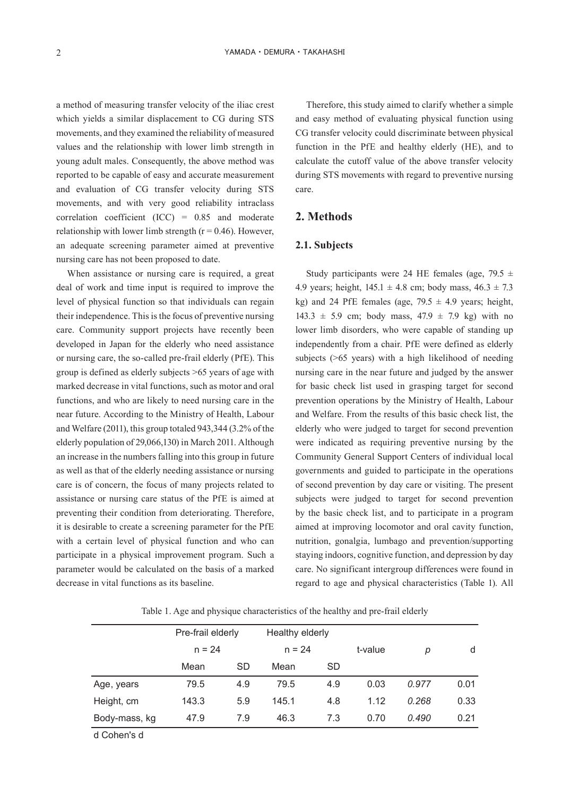a method of measuring transfer velocity of the iliac crest which yields a similar displacement to CG during STS movements, and they examined the reliability of measured values and the relationship with lower limb strength in young adult males. Consequently, the above method was reported to be capable of easy and accurate measurement and evaluation of CG transfer velocity during STS movements, and with very good reliability intraclass correlation coefficient (ICC) = 0.85 and moderate relationship with lower limb strength ( $r = 0.46$ ). However, an adequate screening parameter aimed at preventive nursing care has not been proposed to date.

When assistance or nursing care is required, a great deal of work and time input is required to improve the level of physical function so that individuals can regain their independence. This is the focus of preventive nursing care. Community support projects have recently been developed in Japan for the elderly who need assistance or nursing care, the so-called pre-frail elderly (PfE). This group is defined as elderly subjects >65 years of age with marked decrease in vital functions, such as motor and oral functions, and who are likely to need nursing care in the near future. According to the Ministry of Health, Labour and Welfare (2011), this group totaled 943,344 (3.2% of the elderly population of 29,066,130) in March 2011. Although an increase in the numbers falling into this group in future as well as that of the elderly needing assistance or nursing care is of concern, the focus of many projects related to assistance or nursing care status of the PfE is aimed at preventing their condition from deteriorating. Therefore, it is desirable to create a screening parameter for the PfE with a certain level of physical function and who can participate in a physical improvement program. Such a parameter would be calculated on the basis of a marked decrease in vital functions as its baseline.

Therefore, this study aimed to clarify whether a simple and easy method of evaluating physical function using CG transfer velocity could discriminate between physical function in the PfE and healthy elderly (HE), and to calculate the cutoff value of the above transfer velocity during STS movements with regard to preventive nursing care.

## **2. Methods**

#### **2.1. Subjects**

Study participants were 24 HE females (age, 79.5  $\pm$ 4.9 years; height,  $145.1 \pm 4.8$  cm; body mass,  $46.3 \pm 7.3$ kg) and 24 PfE females (age,  $79.5 \pm 4.9$  years; height, 143.3  $\pm$  5.9 cm; body mass, 47.9  $\pm$  7.9 kg) with no lower limb disorders, who were capable of standing up independently from a chair. PfE were defined as elderly subjects (>65 years) with a high likelihood of needing nursing care in the near future and judged by the answer for basic check list used in grasping target for second prevention operations by the Ministry of Health, Labour and Welfare. From the results of this basic check list, the elderly who were judged to target for second prevention were indicated as requiring preventive nursing by the Community General Support Centers of individual local governments and guided to participate in the operations of second prevention by day care or visiting. The present subjects were judged to target for second prevention by the basic check list, and to participate in a program aimed at improving locomotor and oral cavity function, nutrition, gonalgia, lumbago and prevention/supporting staying indoors, cognitive function, and depression by day care. No significant intergroup differences were found in regard to age and physical characteristics (Table 1). All

Table 1. Age and physique characteristics of the healthy and pre-frail elderly

|               | Pre-frail elderly |     | Healthy elderly |           |         |       |      |
|---------------|-------------------|-----|-----------------|-----------|---------|-------|------|
|               | $n = 24$          |     | $n = 24$        |           | t-value | р     | d    |
|               | Mean              | SD  | Mean            | <b>SD</b> |         |       |      |
| Age, years    | 79.5              | 4.9 | 79.5            | 4.9       | 0.03    | 0.977 | 0.01 |
| Height, cm    | 143.3             | 5.9 | 145.1           | 4.8       | 1.12    | 0.268 | 0.33 |
| Body-mass, kg | 47.9              | 7.9 | 46.3            | 7.3       | 0.70    | 0.490 | 0.21 |
|               |                   |     |                 |           |         |       |      |

d Cohen's d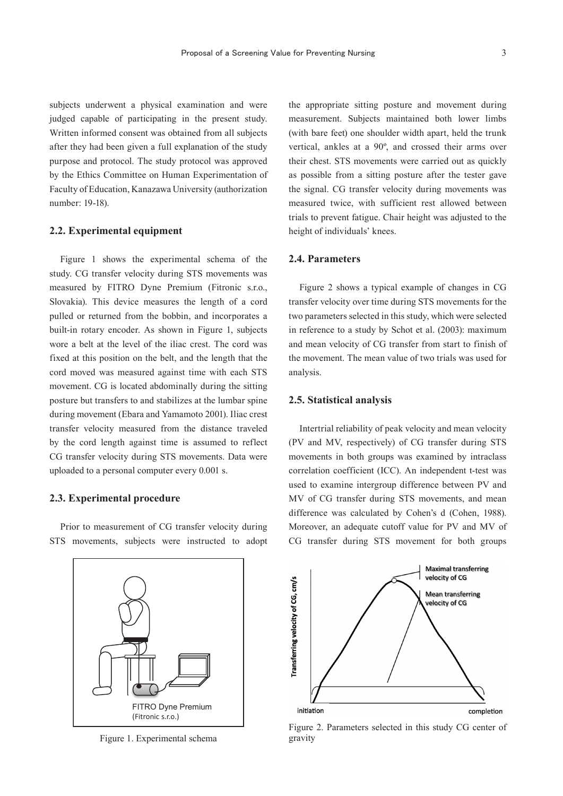subjects underwent a physical examination and were judged capable of participating in the present study. Written informed consent was obtained from all subjects after they had been given a full explanation of the study purpose and protocol. The study protocol was approved by the Ethics Committee on Human Experimentation of Faculty of Education, Kanazawa University (authorization number: 19-18).

#### **2.2. Experimental equipment**

Figure 1 shows the experimental schema of the study. CG transfer velocity during STS movements was measured by FITRO Dyne Premium (Fitronic s.r.o., Slovakia). This device measures the length of a cord pulled or returned from the bobbin, and incorporates a built-in rotary encoder. As shown in Figure 1, subjects wore a belt at the level of the iliac crest. The cord was fixed at this position on the belt, and the length that the cord moved was measured against time with each STS movement. CG is located abdominally during the sitting posture but transfers to and stabilizes at the lumbar spine during movement (Ebara and Yamamoto 2001). Iliac crest transfer velocity measured from the distance traveled by the cord length against time is assumed to reflect CG transfer velocity during STS movements. Data were uploaded to a personal computer every 0.001 s.

#### **2.3. Experimental procedure**

Prior to measurement of CG transfer velocity during STS movements, subjects were instructed to adopt



#### **2.4. Parameters**

Figure 2 shows a typical example of changes in CG transfer velocity over time during STS movements for the two parameters selected in this study, which were selected in reference to a study by Schot et al. (2003): maximum and mean velocity of CG transfer from start to finish of the movement. The mean value of two trials was used for analysis.

#### **2.5. Statistical analysis**

Intertrial reliability of peak velocity and mean velocity (PV and MV, respectively) of CG transfer during STS movements in both groups was examined by intraclass correlation coefficient (ICC). An independent t-test was used to examine intergroup difference between PV and MV of CG transfer during STS movements, and mean difference was calculated by Cohen's d (Cohen, 1988). Moreover, an adequate cutoff value for PV and MV of CG transfer during STS movement for both groups



Figure 1. Experimental schema



Figure 2. Parameters selected in this study CG center of gravity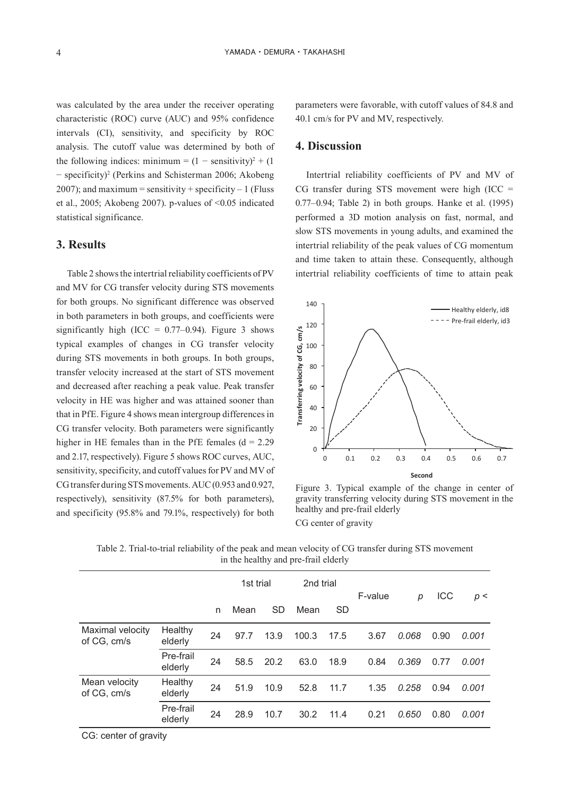was calculated by the area under the receiver operating characteristic (ROC) curve (AUC) and 95% confidence intervals (CI), sensitivity, and specificity by ROC analysis. The cutoff value was determined by both of the following indices: minimum =  $(1 -$  sensitivity)<sup>2</sup> +  $(1 -$ − specificity)2 (Perkins and Schisterman 2006; Akobeng 2007); and maximum = sensitivity + specificity  $-1$  (Fluss et al., 2005; Akobeng 2007). p-values of <0.05 indicated statistical significance.

## **3. Results**

Table 2 shows the intertrial reliability coefficients of PV and MV for CG transfer velocity during STS movements for both groups. No significant difference was observed in both parameters in both groups, and coefficients were significantly high (ICC =  $0.77-0.94$ ). Figure 3 shows typical examples of changes in CG transfer velocity during STS movements in both groups. In both groups, transfer velocity increased at the start of STS movement and decreased after reaching a peak value. Peak transfer velocity in HE was higher and was attained sooner than that in PfE. Figure 4 shows mean intergroup differences in CG transfer velocity. Both parameters were significantly higher in HE females than in the PfE females ( $d = 2.29$ ) and 2.17, respectively). Figure 5 shows ROC curves, AUC, sensitivity, specificity, and cutoff values for PV and MV of CG transfer during STS movements. AUC (0.953 and 0.927, respectively), sensitivity (87.5% for both parameters), and specificity (95.8% and 79.1%, respectively) for both parameters were favorable, with cutoff values of 84.8 and 40.1 cm/s for PV and MV, respectively.

#### **4. Discussion**

Intertrial reliability coefficients of PV and MV of CG transfer during STS movement were high  $(ICC =$ 0.77–0.94; Table 2) in both groups. Hanke et al. (1995) performed a 3D motion analysis on fast, normal, and slow STS movements in young adults, and examined the intertrial reliability of the peak values of CG momentum and time taken to attain these. Consequently, although intertrial reliability coefficients of time to attain peak



Figure 3. Typical example of the change in center of gravity transferring velocity during STS movement in the healthy and pre-frail elderly CG center of gravity

| In the healthy and pre-mail enterly |                           |    |           |           |           |           |         |       |      |       |
|-------------------------------------|---------------------------|----|-----------|-----------|-----------|-----------|---------|-------|------|-------|
|                                     |                           |    | 1st trial |           | 2nd trial |           | F-value | р     | ICC  | p<    |
|                                     |                           | n  | Mean      | <b>SD</b> | Mean      | <b>SD</b> |         |       |      |       |
| Maximal velocity<br>of CG, cm/s     | <b>Healthy</b><br>elderly | 24 | 97.7      | 13.9      | 100.3     | 17.5      | 3.67    | 0.068 | 0.90 | 0.001 |
|                                     | Pre-frail<br>elderly      | 24 | 58.5      | 20.2      | 63.0      | 18.9      | 0.84    | 0.369 | 0.77 | 0.001 |
| Mean velocity<br>of CG, cm/s        | Healthy<br>elderly        | 24 | 51.9      | 10.9      | 52.8      | 11.7      | 1.35    | 0.258 | 0.94 | 0.001 |
|                                     | Pre-frail<br>elderly      | 24 | 28.9      | 10.7      | 30.2      | 11.4      | 0.21    | 0.650 | 0.80 | 0.001 |
|                                     |                           |    |           |           |           |           |         |       |      |       |

Table 2. Trial-to-trial reliability of the peak and mean velocity of CG transfer during STS movement in the healthy and pre-frail elderly

CG: center of gravity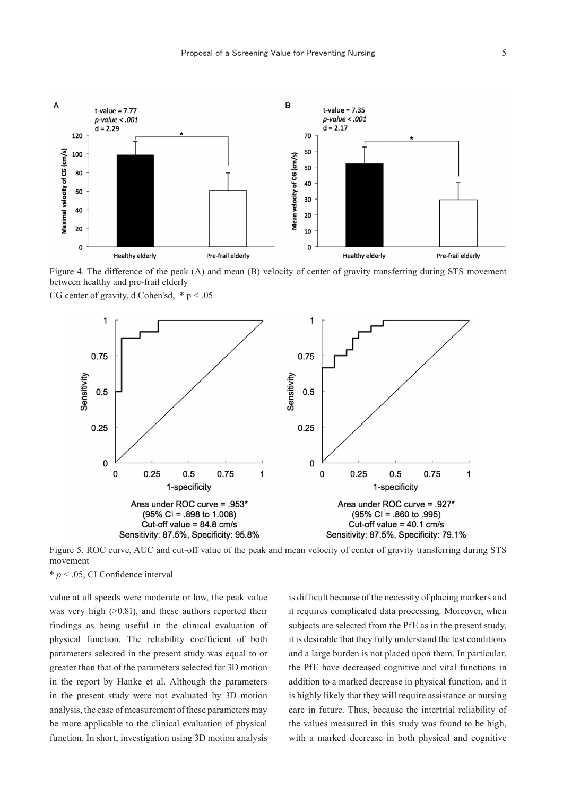

Figure 4. The difference of the peak (A) and mean (B) velocity of center of gravity transferring during STS movement between healthy and pre-frail elderly





Figure 5. ROC curve, AUC and cut-off value of the peak and mean velocity of center of gravity transferring during STS movement

 $* p < .05$ , CI Confidence interval

value at all speeds were moderate or low, the peak value was very high ( $>0.81$ ), and these authors reported their findings as being useful in the clinical evaluation of physical function. The reliability coefficient of both parameters selected in the present study was equal to or greater than that of the parameters selected for 3D motion in the report by Hanke et al. Although the parameters in the present study were not evaluated by 3D motion analysis, the ease of measurement of these parameters may be more applicable to the clinical evaluation of physical function. In short, investigation using 3D motion analysis is difficult because of the necessity of placing markers and it requires complicated data processing. Moreover, when subjects are selected from the PfE as in the present study, it is desirable that they fully understand the test conditions and a large burden is not placed upon them. In particular, the PfE have decreased cognitive and vital functions in addition to a marked decrease in physical function, and it is highly likely that they will require assistance or nursing care in future. Thus, because the intertrial reliability of the values measured in this study was found to be high, with a marked decrease in both physical and cognitive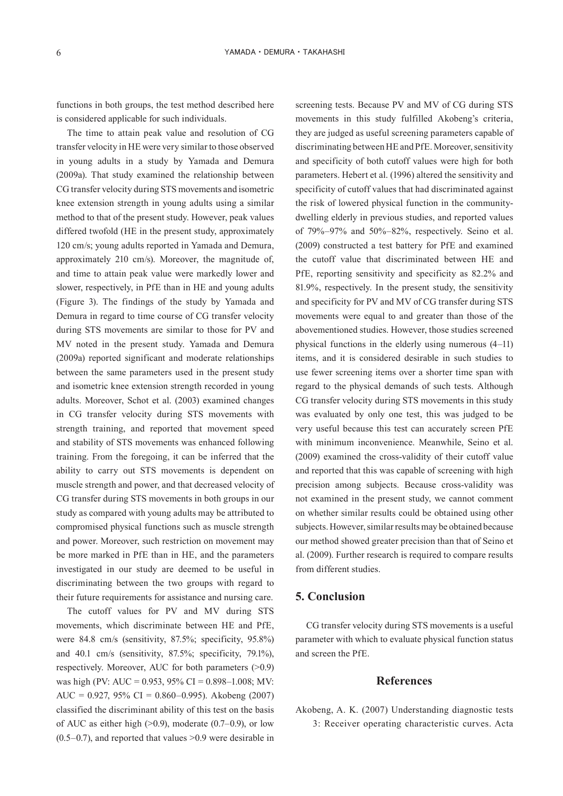functions in both groups, the test method described here is considered applicable for such individuals.

The time to attain peak value and resolution of CG transfer velocity in HE were very similar to those observed in young adults in a study by Yamada and Demura (2009a). That study examined the relationship between CG transfer velocity during STS movements and isometric knee extension strength in young adults using a similar method to that of the present study. However, peak values differed twofold (HE in the present study, approximately 120 cm/s; young adults reported in Yamada and Demura, approximately 210 cm/s). Moreover, the magnitude of, and time to attain peak value were markedly lower and slower, respectively, in PfE than in HE and young adults (Figure 3). The findings of the study by Yamada and Demura in regard to time course of CG transfer velocity during STS movements are similar to those for PV and MV noted in the present study. Yamada and Demura (2009a) reported significant and moderate relationships between the same parameters used in the present study and isometric knee extension strength recorded in young adults. Moreover, Schot et al. (2003) examined changes in CG transfer velocity during STS movements with strength training, and reported that movement speed and stability of STS movements was enhanced following training. From the foregoing, it can be inferred that the ability to carry out STS movements is dependent on muscle strength and power, and that decreased velocity of CG transfer during STS movements in both groups in our study as compared with young adults may be attributed to compromised physical functions such as muscle strength and power. Moreover, such restriction on movement may be more marked in PfE than in HE, and the parameters investigated in our study are deemed to be useful in discriminating between the two groups with regard to their future requirements for assistance and nursing care.

The cutoff values for PV and MV during STS movements, which discriminate between HE and PfE, were 84.8 cm/s (sensitivity, 87.5%; specificity, 95.8%) and 40.1 cm/s (sensitivity, 87.5%; specificity, 79.1%), respectively. Moreover, AUC for both parameters (>0.9) was high (PV: AUC = 0.953, 95% CI = 0.898–1.008; MV: AUC = 0.927, 95% CI = 0.860–0.995). Akobeng (2007) classified the discriminant ability of this test on the basis of AUC as either high  $(>0.9)$ , moderate  $(0.7-0.9)$ , or low  $(0.5-0.7)$ , and reported that values  $>0.9$  were desirable in

screening tests. Because PV and MV of CG during STS movements in this study fulfilled Akobeng's criteria, they are judged as useful screening parameters capable of discriminating between HE and PfE. Moreover, sensitivity and specificity of both cutoff values were high for both parameters. Hebert et al. (1996) altered the sensitivity and specificity of cutoff values that had discriminated against the risk of lowered physical function in the communitydwelling elderly in previous studies, and reported values of 79%–97% and 50%–82%, respectively. Seino et al. (2009) constructed a test battery for PfE and examined the cutoff value that discriminated between HE and PfE, reporting sensitivity and specificity as 82.2% and 81.9%, respectively. In the present study, the sensitivity and specificity for PV and MV of CG transfer during STS movements were equal to and greater than those of the abovementioned studies. However, those studies screened physical functions in the elderly using numerous (4–11) items, and it is considered desirable in such studies to use fewer screening items over a shorter time span with regard to the physical demands of such tests. Although CG transfer velocity during STS movements in this study was evaluated by only one test, this was judged to be very useful because this test can accurately screen PfE with minimum inconvenience. Meanwhile, Seino et al. (2009) examined the cross-validity of their cutoff value and reported that this was capable of screening with high precision among subjects. Because cross-validity was not examined in the present study, we cannot comment on whether similar results could be obtained using other subjects. However, similar results may be obtained because our method showed greater precision than that of Seino et al. (2009). Further research is required to compare results from different studies.

## **5. Conclusion**

CG transfer velocity during STS movements is a useful parameter with which to evaluate physical function status and screen the PfE.

## **References**

Akobeng, A. K. (2007) Understanding diagnostic tests 3: Receiver operating characteristic curves. Acta